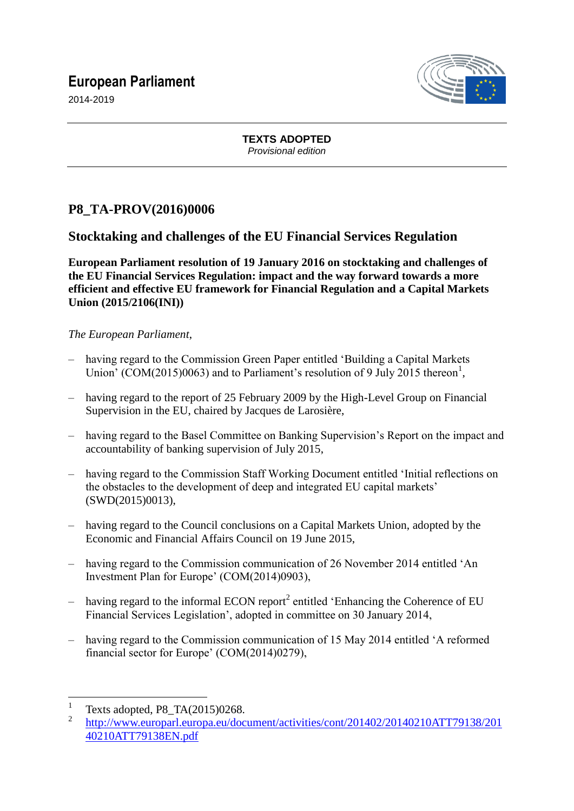# **European Parliament**



2014-2019

**TEXTS ADOPTED** *Provisional edition*

## **P8\_TA-PROV(2016)0006**

### **Stocktaking and challenges of the EU Financial Services Regulation**

**European Parliament resolution of 19 January 2016 on stocktaking and challenges of the EU Financial Services Regulation: impact and the way forward towards a more efficient and effective EU framework for Financial Regulation and a Capital Markets Union (2015/2106(INI))**

### *The European Parliament*,

- having regard to the Commission Green Paper entitled 'Building a Capital Markets Union' (COM(2015)0063) and to Parliament's resolution of 9 July 2015 thereon<sup>1</sup>,
- having regard to the report of 25 February 2009 by the High-Level Group on Financial Supervision in the EU, chaired by Jacques de Larosière,
- having regard to the Basel Committee on Banking Supervision's Report on the impact and accountability of banking supervision of July 2015,
- having regard to the Commission Staff Working Document entitled 'Initial reflections on the obstacles to the development of deep and integrated EU capital markets' (SWD(2015)0013),
- having regard to the Council conclusions on a Capital Markets Union, adopted by the Economic and Financial Affairs Council on 19 June 2015,
- having regard to the Commission communication of 26 November 2014 entitled 'An Investment Plan for Europe' (COM(2014)0903),
- $-$  having regard to the informal ECON report<sup>2</sup> entitled 'Enhancing the Coherence of EU Financial Services Legislation', adopted in committee on 30 January 2014,
- having regard to the Commission communication of 15 May 2014 entitled 'A reformed financial sector for Europe' (COM(2014)0279),

 $\frac{1}{1}$ Texts adopted, P8\_TA(2015)0268.

<sup>2</sup> [http://www.europarl.europa.eu/document/activities/cont/201402/20140210ATT79138/201](http://www.europarl.europa.eu/document/activities/cont/201402/20140210ATT79138/201%0b40210ATT79138EN.pdf) [40210ATT79138EN.pdf](http://www.europarl.europa.eu/document/activities/cont/201402/20140210ATT79138/201%0b40210ATT79138EN.pdf)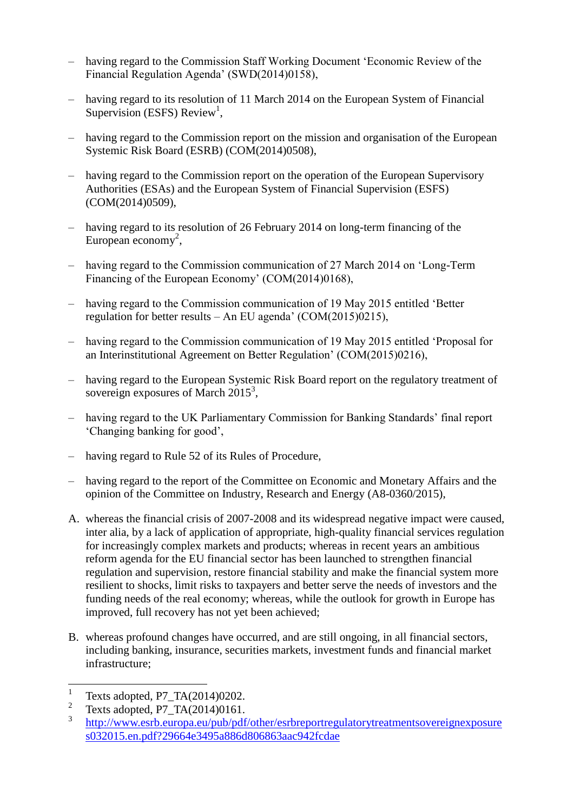- having regard to the Commission Staff Working Document 'Economic Review of the Financial Regulation Agenda' (SWD(2014)0158),
- having regard to its resolution of 11 March 2014 on the European System of Financial Supervision (ESFS) Review<sup>1</sup>,
- having regard to the Commission report on the mission and organisation of the European Systemic Risk Board (ESRB) (COM(2014)0508),
- having regard to the Commission report on the operation of the European Supervisory Authorities (ESAs) and the European System of Financial Supervision (ESFS) (COM(2014)0509),
- having regard to its resolution of 26 February 2014 on long-term financing of the European economy<sup>2</sup>,
- having regard to the Commission communication of 27 March 2014 on 'Long-Term Financing of the European Economy' (COM(2014)0168),
- having regard to the Commission communication of 19 May 2015 entitled 'Better regulation for better results – An EU agenda' (COM(2015)0215),
- having regard to the Commission communication of 19 May 2015 entitled 'Proposal for an Interinstitutional Agreement on Better Regulation' (COM(2015)0216),
- having regard to the European Systemic Risk Board report on the regulatory treatment of sovereign exposures of March 2015<sup>3</sup>,
- having regard to the UK Parliamentary Commission for Banking Standards' final report 'Changing banking for good',
- having regard to Rule 52 of its Rules of Procedure,
- having regard to the report of the Committee on Economic and Monetary Affairs and the opinion of the Committee on Industry, Research and Energy (A8-0360/2015),
- A. whereas the financial crisis of 2007-2008 and its widespread negative impact were caused, inter alia, by a lack of application of appropriate, high-quality financial services regulation for increasingly complex markets and products; whereas in recent years an ambitious reform agenda for the EU financial sector has been launched to strengthen financial regulation and supervision, restore financial stability and make the financial system more resilient to shocks, limit risks to taxpayers and better serve the needs of investors and the funding needs of the real economy; whereas, while the outlook for growth in Europe has improved, full recovery has not yet been achieved;
- B. whereas profound changes have occurred, and are still ongoing, in all financial sectors, including banking, insurance, securities markets, investment funds and financial market infrastructure;

 $\frac{1}{1}$ Texts adopted, [P7\\_TA\(2014\)0202.](http://www.europarl.europa.eu/sides/getDoc.do?pubRef=-//EP//TEXT+TA+P7-TA-2014-0202+0+DOC+XML+V0//EN)

<sup>2</sup> Texts adopted, P7\_TA(2014)0161.

<sup>3</sup> [http://www.esrb.europa.eu/pub/pdf/other/esrbreportregulatorytreatmentsovereignexposure](http://www.esrb.europa.eu/pub/pdf/other/esrbreportregulatorytreatmentsovereignexposure%0bs032015.en.pdf?29664e3495a886d806863aac942fcdae) [s032015.en.pdf?29664e3495a886d806863aac942fcdae](http://www.esrb.europa.eu/pub/pdf/other/esrbreportregulatorytreatmentsovereignexposure%0bs032015.en.pdf?29664e3495a886d806863aac942fcdae)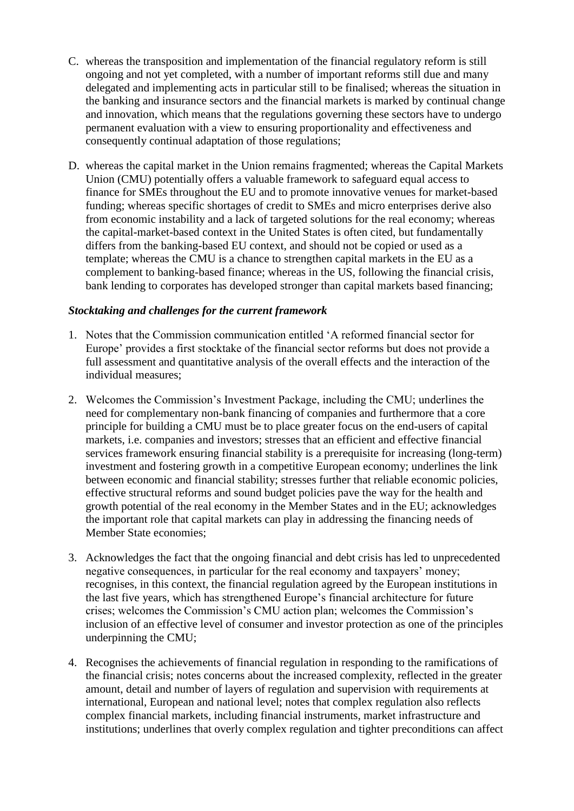- C. whereas the transposition and implementation of the financial regulatory reform is still ongoing and not yet completed, with a number of important reforms still due and many delegated and implementing acts in particular still to be finalised; whereas the situation in the banking and insurance sectors and the financial markets is marked by continual change and innovation, which means that the regulations governing these sectors have to undergo permanent evaluation with a view to ensuring proportionality and effectiveness and consequently continual adaptation of those regulations;
- D. whereas the capital market in the Union remains fragmented; whereas the Capital Markets Union (CMU) potentially offers a valuable framework to safeguard equal access to finance for SMEs throughout the EU and to promote innovative venues for market-based funding; whereas specific shortages of credit to SMEs and micro enterprises derive also from economic instability and a lack of targeted solutions for the real economy; whereas the capital-market-based context in the United States is often cited, but fundamentally differs from the banking-based EU context, and should not be copied or used as a template; whereas the CMU is a chance to strengthen capital markets in the EU as a complement to banking-based finance; whereas in the US, following the financial crisis, bank lending to corporates has developed stronger than capital markets based financing;

#### *Stocktaking and challenges for the current framework*

- 1. Notes that the Commission communication entitled 'A reformed financial sector for Europe' provides a first stocktake of the financial sector reforms but does not provide a full assessment and quantitative analysis of the overall effects and the interaction of the individual measures;
- 2. Welcomes the Commission's Investment Package, including the CMU; underlines the need for complementary non-bank financing of companies and furthermore that a core principle for building a CMU must be to place greater focus on the end-users of capital markets, i.e. companies and investors; stresses that an efficient and effective financial services framework ensuring financial stability is a prerequisite for increasing (long-term) investment and fostering growth in a competitive European economy; underlines the link between economic and financial stability; stresses further that reliable economic policies, effective structural reforms and sound budget policies pave the way for the health and growth potential of the real economy in the Member States and in the EU; acknowledges the important role that capital markets can play in addressing the financing needs of Member State economies;
- 3. Acknowledges the fact that the ongoing financial and debt crisis has led to unprecedented negative consequences, in particular for the real economy and taxpayers' money; recognises, in this context, the financial regulation agreed by the European institutions in the last five years, which has strengthened Europe's financial architecture for future crises; welcomes the Commission's CMU action plan; welcomes the Commission's inclusion of an effective level of consumer and investor protection as one of the principles underpinning the CMU;
- 4. Recognises the achievements of financial regulation in responding to the ramifications of the financial crisis; notes concerns about the increased complexity, reflected in the greater amount, detail and number of layers of regulation and supervision with requirements at international, European and national level; notes that complex regulation also reflects complex financial markets, including financial instruments, market infrastructure and institutions; underlines that overly complex regulation and tighter preconditions can affect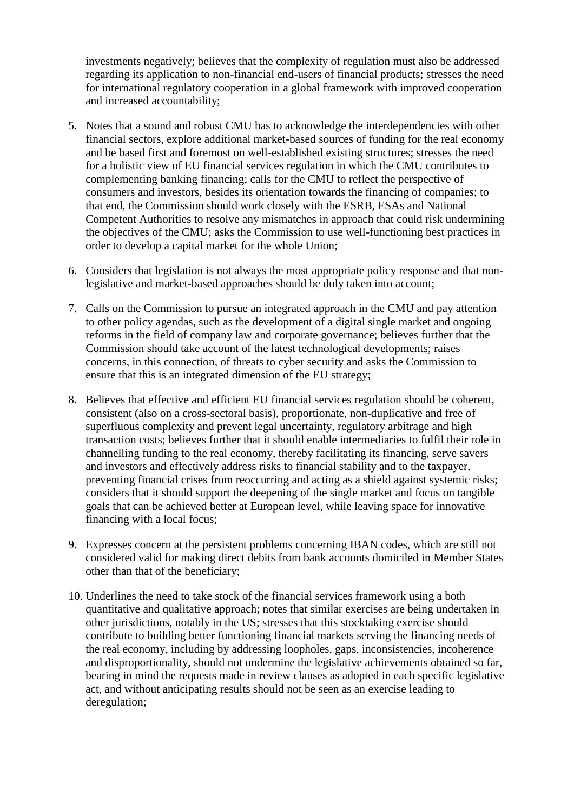investments negatively; believes that the complexity of regulation must also be addressed regarding its application to non-financial end-users of financial products; stresses the need for international regulatory cooperation in a global framework with improved cooperation and increased accountability;

- 5. Notes that a sound and robust CMU has to acknowledge the interdependencies with other financial sectors, explore additional market-based sources of funding for the real economy and be based first and foremost on well-established existing structures; stresses the need for a holistic view of EU financial services regulation in which the CMU contributes to complementing banking financing; calls for the CMU to reflect the perspective of consumers and investors, besides its orientation towards the financing of companies; to that end, the Commission should work closely with the ESRB, ESAs and National Competent Authorities to resolve any mismatches in approach that could risk undermining the objectives of the CMU; asks the Commission to use well-functioning best practices in order to develop a capital market for the whole Union;
- 6. Considers that legislation is not always the most appropriate policy response and that nonlegislative and market-based approaches should be duly taken into account;
- 7. Calls on the Commission to pursue an integrated approach in the CMU and pay attention to other policy agendas, such as the development of a digital single market and ongoing reforms in the field of company law and corporate governance; believes further that the Commission should take account of the latest technological developments; raises concerns, in this connection, of threats to cyber security and asks the Commission to ensure that this is an integrated dimension of the EU strategy;
- 8. Believes that effective and efficient EU financial services regulation should be coherent, consistent (also on a cross-sectoral basis), proportionate, non-duplicative and free of superfluous complexity and prevent legal uncertainty, regulatory arbitrage and high transaction costs; believes further that it should enable intermediaries to fulfil their role in channelling funding to the real economy, thereby facilitating its financing, serve savers and investors and effectively address risks to financial stability and to the taxpayer, preventing financial crises from reoccurring and acting as a shield against systemic risks; considers that it should support the deepening of the single market and focus on tangible goals that can be achieved better at European level, while leaving space for innovative financing with a local focus;
- 9. Expresses concern at the persistent problems concerning IBAN codes, which are still not considered valid for making direct debits from bank accounts domiciled in Member States other than that of the beneficiary;
- 10. Underlines the need to take stock of the financial services framework using a both quantitative and qualitative approach; notes that similar exercises are being undertaken in other jurisdictions, notably in the US; stresses that this stocktaking exercise should contribute to building better functioning financial markets serving the financing needs of the real economy, including by addressing loopholes, gaps, inconsistencies, incoherence and disproportionality, should not undermine the legislative achievements obtained so far, bearing in mind the requests made in review clauses as adopted in each specific legislative act, and without anticipating results should not be seen as an exercise leading to deregulation;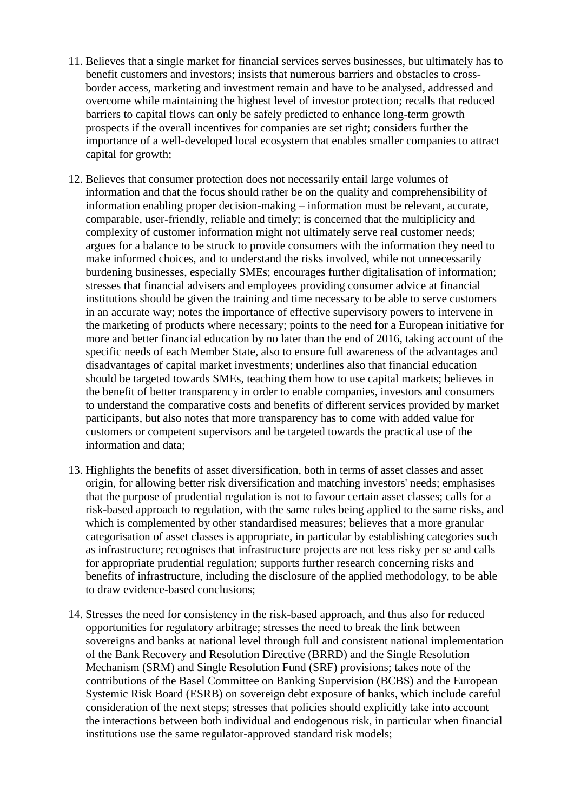- 11. Believes that a single market for financial services serves businesses, but ultimately has to benefit customers and investors; insists that numerous barriers and obstacles to crossborder access, marketing and investment remain and have to be analysed, addressed and overcome while maintaining the highest level of investor protection; recalls that reduced barriers to capital flows can only be safely predicted to enhance long-term growth prospects if the overall incentives for companies are set right; considers further the importance of a well-developed local ecosystem that enables smaller companies to attract capital for growth;
- 12. Believes that consumer protection does not necessarily entail large volumes of information and that the focus should rather be on the quality and comprehensibility of information enabling proper decision-making – information must be relevant, accurate, comparable, user-friendly, reliable and timely; is concerned that the multiplicity and complexity of customer information might not ultimately serve real customer needs; argues for a balance to be struck to provide consumers with the information they need to make informed choices, and to understand the risks involved, while not unnecessarily burdening businesses, especially SMEs; encourages further digitalisation of information; stresses that financial advisers and employees providing consumer advice at financial institutions should be given the training and time necessary to be able to serve customers in an accurate way; notes the importance of effective supervisory powers to intervene in the marketing of products where necessary; points to the need for a European initiative for more and better financial education by no later than the end of 2016, taking account of the specific needs of each Member State, also to ensure full awareness of the advantages and disadvantages of capital market investments; underlines also that financial education should be targeted towards SMEs, teaching them how to use capital markets; believes in the benefit of better transparency in order to enable companies, investors and consumers to understand the comparative costs and benefits of different services provided by market participants, but also notes that more transparency has to come with added value for customers or competent supervisors and be targeted towards the practical use of the information and data;
- 13. Highlights the benefits of asset diversification, both in terms of asset classes and asset origin, for allowing better risk diversification and matching investors' needs; emphasises that the purpose of prudential regulation is not to favour certain asset classes; calls for a risk-based approach to regulation, with the same rules being applied to the same risks, and which is complemented by other standardised measures; believes that a more granular categorisation of asset classes is appropriate, in particular by establishing categories such as infrastructure; recognises that infrastructure projects are not less risky per se and calls for appropriate prudential regulation; supports further research concerning risks and benefits of infrastructure, including the disclosure of the applied methodology, to be able to draw evidence-based conclusions;
- 14. Stresses the need for consistency in the risk-based approach, and thus also for reduced opportunities for regulatory arbitrage; stresses the need to break the link between sovereigns and banks at national level through full and consistent national implementation of the Bank Recovery and Resolution Directive (BRRD) and the Single Resolution Mechanism (SRM) and Single Resolution Fund (SRF) provisions; takes note of the contributions of the Basel Committee on Banking Supervision (BCBS) and the European Systemic Risk Board (ESRB) on sovereign debt exposure of banks, which include careful consideration of the next steps; stresses that policies should explicitly take into account the interactions between both individual and endogenous risk, in particular when financial institutions use the same regulator-approved standard risk models;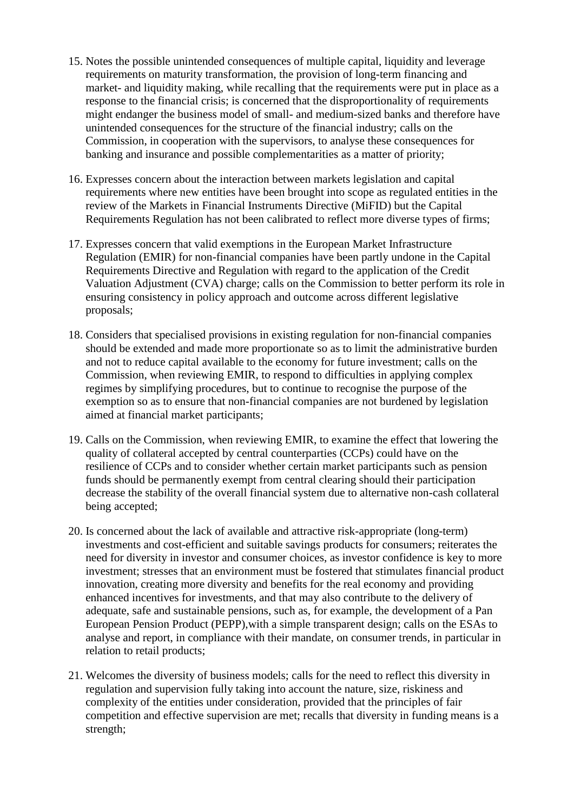- 15. Notes the possible unintended consequences of multiple capital, liquidity and leverage requirements on maturity transformation, the provision of long-term financing and market- and liquidity making, while recalling that the requirements were put in place as a response to the financial crisis; is concerned that the disproportionality of requirements might endanger the business model of small- and medium-sized banks and therefore have unintended consequences for the structure of the financial industry; calls on the Commission, in cooperation with the supervisors, to analyse these consequences for banking and insurance and possible complementarities as a matter of priority;
- 16. Expresses concern about the interaction between markets legislation and capital requirements where new entities have been brought into scope as regulated entities in the review of the Markets in Financial Instruments Directive (MiFID) but the Capital Requirements Regulation has not been calibrated to reflect more diverse types of firms;
- 17. Expresses concern that valid exemptions in the European Market Infrastructure Regulation (EMIR) for non-financial companies have been partly undone in the Capital Requirements Directive and Regulation with regard to the application of the Credit Valuation Adjustment (CVA) charge; calls on the Commission to better perform its role in ensuring consistency in policy approach and outcome across different legislative proposals;
- 18. Considers that specialised provisions in existing regulation for non-financial companies should be extended and made more proportionate so as to limit the administrative burden and not to reduce capital available to the economy for future investment; calls on the Commission, when reviewing EMIR, to respond to difficulties in applying complex regimes by simplifying procedures, but to continue to recognise the purpose of the exemption so as to ensure that non-financial companies are not burdened by legislation aimed at financial market participants;
- 19. Calls on the Commission, when reviewing EMIR, to examine the effect that lowering the quality of collateral accepted by central counterparties (CCPs) could have on the resilience of CCPs and to consider whether certain market participants such as pension funds should be permanently exempt from central clearing should their participation decrease the stability of the overall financial system due to alternative non-cash collateral being accepted;
- 20. Is concerned about the lack of available and attractive risk-appropriate (long-term) investments and cost-efficient and suitable savings products for consumers; reiterates the need for diversity in investor and consumer choices, as investor confidence is key to more investment; stresses that an environment must be fostered that stimulates financial product innovation, creating more diversity and benefits for the real economy and providing enhanced incentives for investments, and that may also contribute to the delivery of adequate, safe and sustainable pensions, such as, for example, the development of a Pan European Pension Product (PEPP),with a simple transparent design; calls on the ESAs to analyse and report, in compliance with their mandate, on consumer trends, in particular in relation to retail products;
- 21. Welcomes the diversity of business models; calls for the need to reflect this diversity in regulation and supervision fully taking into account the nature, size, riskiness and complexity of the entities under consideration, provided that the principles of fair competition and effective supervision are met; recalls that diversity in funding means is a strength;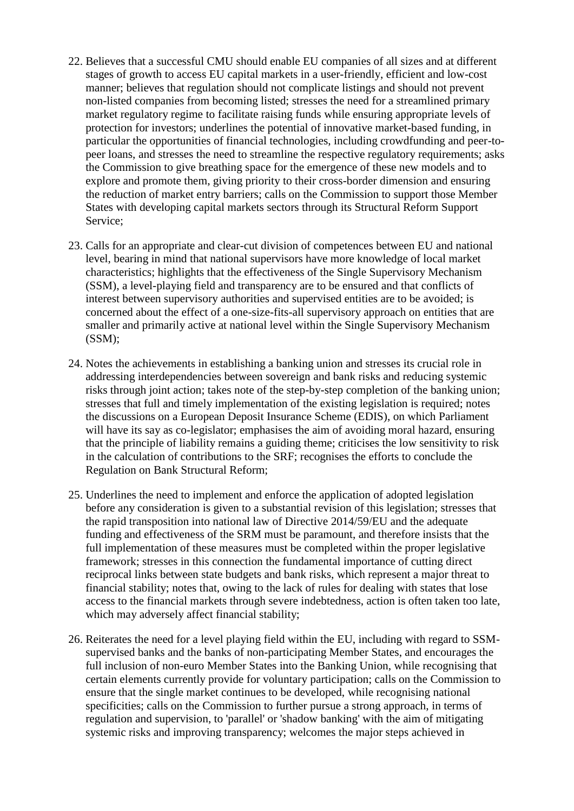- 22. Believes that a successful CMU should enable EU companies of all sizes and at different stages of growth to access EU capital markets in a user-friendly, efficient and low-cost manner; believes that regulation should not complicate listings and should not prevent non-listed companies from becoming listed; stresses the need for a streamlined primary market regulatory regime to facilitate raising funds while ensuring appropriate levels of protection for investors; underlines the potential of innovative market-based funding, in particular the opportunities of financial technologies, including crowdfunding and peer-topeer loans, and stresses the need to streamline the respective regulatory requirements; asks the Commission to give breathing space for the emergence of these new models and to explore and promote them, giving priority to their cross-border dimension and ensuring the reduction of market entry barriers; calls on the Commission to support those Member States with developing capital markets sectors through its Structural Reform Support Service;
- 23. Calls for an appropriate and clear-cut division of competences between EU and national level, bearing in mind that national supervisors have more knowledge of local market characteristics; highlights that the effectiveness of the Single Supervisory Mechanism (SSM), a level-playing field and transparency are to be ensured and that conflicts of interest between supervisory authorities and supervised entities are to be avoided; is concerned about the effect of a one-size-fits-all supervisory approach on entities that are smaller and primarily active at national level within the Single Supervisory Mechanism (SSM);
- 24. Notes the achievements in establishing a banking union and stresses its crucial role in addressing interdependencies between sovereign and bank risks and reducing systemic risks through joint action; takes note of the step-by-step completion of the banking union; stresses that full and timely implementation of the existing legislation is required; notes the discussions on a European Deposit Insurance Scheme (EDIS), on which Parliament will have its say as co-legislator; emphasises the aim of avoiding moral hazard, ensuring that the principle of liability remains a guiding theme; criticises the low sensitivity to risk in the calculation of contributions to the SRF; recognises the efforts to conclude the Regulation on Bank Structural Reform;
- 25. Underlines the need to implement and enforce the application of adopted legislation before any consideration is given to a substantial revision of this legislation; stresses that the rapid transposition into national law of Directive 2014/59/EU and the adequate funding and effectiveness of the SRM must be paramount, and therefore insists that the full implementation of these measures must be completed within the proper legislative framework; stresses in this connection the fundamental importance of cutting direct reciprocal links between state budgets and bank risks, which represent a major threat to financial stability; notes that, owing to the lack of rules for dealing with states that lose access to the financial markets through severe indebtedness, action is often taken too late, which may adversely affect financial stability;
- 26. Reiterates the need for a level playing field within the EU, including with regard to SSMsupervised banks and the banks of non-participating Member States, and encourages the full inclusion of non-euro Member States into the Banking Union, while recognising that certain elements currently provide for voluntary participation; calls on the Commission to ensure that the single market continues to be developed, while recognising national specificities; calls on the Commission to further pursue a strong approach, in terms of regulation and supervision, to 'parallel' or 'shadow banking' with the aim of mitigating systemic risks and improving transparency; welcomes the major steps achieved in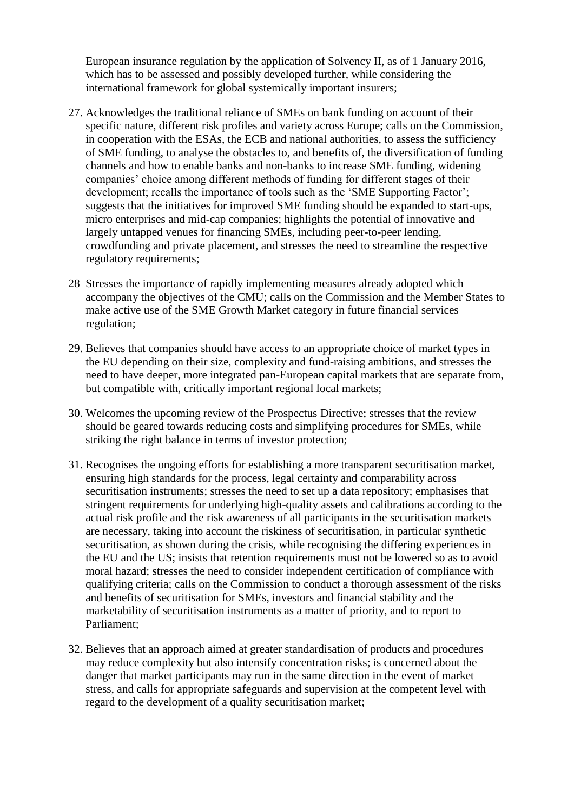European insurance regulation by the application of Solvency II, as of 1 January 2016, which has to be assessed and possibly developed further, while considering the international framework for global systemically important insurers;

- 27. Acknowledges the traditional reliance of SMEs on bank funding on account of their specific nature, different risk profiles and variety across Europe; calls on the Commission, in cooperation with the ESAs, the ECB and national authorities, to assess the sufficiency of SME funding, to analyse the obstacles to, and benefits of, the diversification of funding channels and how to enable banks and non-banks to increase SME funding, widening companies' choice among different methods of funding for different stages of their development; recalls the importance of tools such as the 'SME Supporting Factor'; suggests that the initiatives for improved SME funding should be expanded to start-ups, micro enterprises and mid-cap companies; highlights the potential of innovative and largely untapped venues for financing SMEs, including peer-to-peer lending, crowdfunding and private placement, and stresses the need to streamline the respective regulatory requirements;
- 28 Stresses the importance of rapidly implementing measures already adopted which accompany the objectives of the CMU; calls on the Commission and the Member States to make active use of the SME Growth Market category in future financial services regulation;
- 29. Believes that companies should have access to an appropriate choice of market types in the EU depending on their size, complexity and fund-raising ambitions, and stresses the need to have deeper, more integrated pan-European capital markets that are separate from, but compatible with, critically important regional local markets;
- 30. Welcomes the upcoming review of the Prospectus Directive; stresses that the review should be geared towards reducing costs and simplifying procedures for SMEs, while striking the right balance in terms of investor protection;
- 31. Recognises the ongoing efforts for establishing a more transparent securitisation market, ensuring high standards for the process, legal certainty and comparability across securitisation instruments; stresses the need to set up a data repository; emphasises that stringent requirements for underlying high-quality assets and calibrations according to the actual risk profile and the risk awareness of all participants in the securitisation markets are necessary, taking into account the riskiness of securitisation, in particular synthetic securitisation, as shown during the crisis, while recognising the differing experiences in the EU and the US; insists that retention requirements must not be lowered so as to avoid moral hazard; stresses the need to consider independent certification of compliance with qualifying criteria; calls on the Commission to conduct a thorough assessment of the risks and benefits of securitisation for SMEs, investors and financial stability and the marketability of securitisation instruments as a matter of priority, and to report to Parliament;
- 32. Believes that an approach aimed at greater standardisation of products and procedures may reduce complexity but also intensify concentration risks; is concerned about the danger that market participants may run in the same direction in the event of market stress, and calls for appropriate safeguards and supervision at the competent level with regard to the development of a quality securitisation market;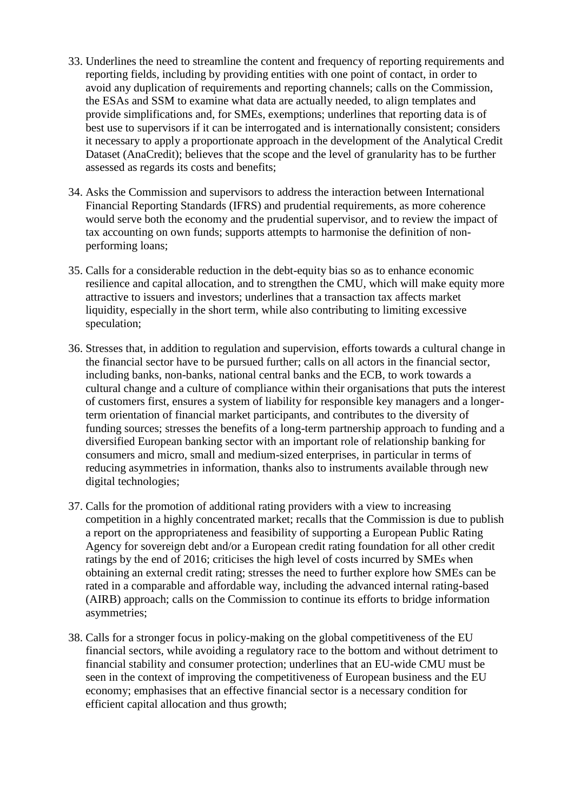- 33. Underlines the need to streamline the content and frequency of reporting requirements and reporting fields, including by providing entities with one point of contact, in order to avoid any duplication of requirements and reporting channels; calls on the Commission, the ESAs and SSM to examine what data are actually needed, to align templates and provide simplifications and, for SMEs, exemptions; underlines that reporting data is of best use to supervisors if it can be interrogated and is internationally consistent; considers it necessary to apply a proportionate approach in the development of the Analytical Credit Dataset (AnaCredit); believes that the scope and the level of granularity has to be further assessed as regards its costs and benefits;
- 34. Asks the Commission and supervisors to address the interaction between International Financial Reporting Standards (IFRS) and prudential requirements, as more coherence would serve both the economy and the prudential supervisor, and to review the impact of tax accounting on own funds; supports attempts to harmonise the definition of nonperforming loans;
- 35. Calls for a considerable reduction in the debt-equity bias so as to enhance economic resilience and capital allocation, and to strengthen the CMU, which will make equity more attractive to issuers and investors; underlines that a transaction tax affects market liquidity, especially in the short term, while also contributing to limiting excessive speculation;
- 36. Stresses that, in addition to regulation and supervision, efforts towards a cultural change in the financial sector have to be pursued further; calls on all actors in the financial sector, including banks, non-banks, national central banks and the ECB, to work towards a cultural change and a culture of compliance within their organisations that puts the interest of customers first, ensures a system of liability for responsible key managers and a longerterm orientation of financial market participants, and contributes to the diversity of funding sources; stresses the benefits of a long-term partnership approach to funding and a diversified European banking sector with an important role of relationship banking for consumers and micro, small and medium-sized enterprises, in particular in terms of reducing asymmetries in information, thanks also to instruments available through new digital technologies;
- 37. Calls for the promotion of additional rating providers with a view to increasing competition in a highly concentrated market; recalls that the Commission is due to publish a report on the appropriateness and feasibility of supporting a European Public Rating Agency for sovereign debt and/or a European credit rating foundation for all other credit ratings by the end of 2016; criticises the high level of costs incurred by SMEs when obtaining an external credit rating; stresses the need to further explore how SMEs can be rated in a comparable and affordable way, including the advanced internal rating-based (AIRB) approach; calls on the Commission to continue its efforts to bridge information asymmetries;
- 38. Calls for a stronger focus in policy-making on the global competitiveness of the EU financial sectors, while avoiding a regulatory race to the bottom and without detriment to financial stability and consumer protection; underlines that an EU-wide CMU must be seen in the context of improving the competitiveness of European business and the EU economy; emphasises that an effective financial sector is a necessary condition for efficient capital allocation and thus growth;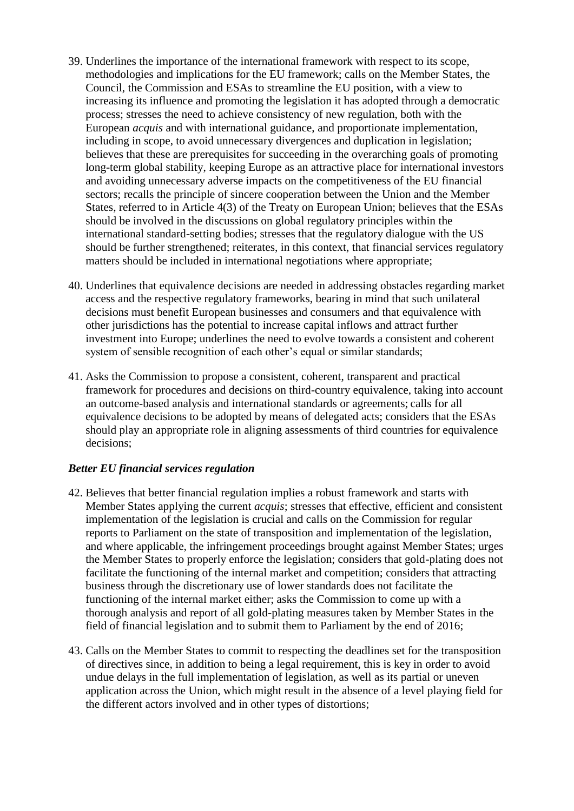- 39. Underlines the importance of the international framework with respect to its scope, methodologies and implications for the EU framework; calls on the Member States, the Council, the Commission and ESAs to streamline the EU position, with a view to increasing its influence and promoting the legislation it has adopted through a democratic process; stresses the need to achieve consistency of new regulation, both with the European *acquis* and with international guidance, and proportionate implementation, including in scope, to avoid unnecessary divergences and duplication in legislation; believes that these are prerequisites for succeeding in the overarching goals of promoting long-term global stability, keeping Europe as an attractive place for international investors and avoiding unnecessary adverse impacts on the competitiveness of the EU financial sectors; recalls the principle of sincere cooperation between the Union and the Member States, referred to in Article 4(3) of the Treaty on European Union; believes that the ESAs should be involved in the discussions on global regulatory principles within the international standard-setting bodies; stresses that the regulatory dialogue with the US should be further strengthened; reiterates, in this context, that financial services regulatory matters should be included in international negotiations where appropriate;
- 40. Underlines that equivalence decisions are needed in addressing obstacles regarding market access and the respective regulatory frameworks, bearing in mind that such unilateral decisions must benefit European businesses and consumers and that equivalence with other jurisdictions has the potential to increase capital inflows and attract further investment into Europe; underlines the need to evolve towards a consistent and coherent system of sensible recognition of each other's equal or similar standards;
- 41. Asks the Commission to propose a consistent, coherent, transparent and practical framework for procedures and decisions on third-country equivalence, taking into account an outcome-based analysis and international standards or agreements; calls for all equivalence decisions to be adopted by means of delegated acts; considers that the ESAs should play an appropriate role in aligning assessments of third countries for equivalence decisions;

#### *Better EU financial services regulation*

- 42. Believes that better financial regulation implies a robust framework and starts with Member States applying the current *acquis*; stresses that effective, efficient and consistent implementation of the legislation is crucial and calls on the Commission for regular reports to Parliament on the state of transposition and implementation of the legislation, and where applicable, the infringement proceedings brought against Member States; urges the Member States to properly enforce the legislation; considers that gold-plating does not facilitate the functioning of the internal market and competition; considers that attracting business through the discretionary use of lower standards does not facilitate the functioning of the internal market either; asks the Commission to come up with a thorough analysis and report of all gold-plating measures taken by Member States in the field of financial legislation and to submit them to Parliament by the end of 2016;
- 43. Calls on the Member States to commit to respecting the deadlines set for the transposition of directives since, in addition to being a legal requirement, this is key in order to avoid undue delays in the full implementation of legislation, as well as its partial or uneven application across the Union, which might result in the absence of a level playing field for the different actors involved and in other types of distortions;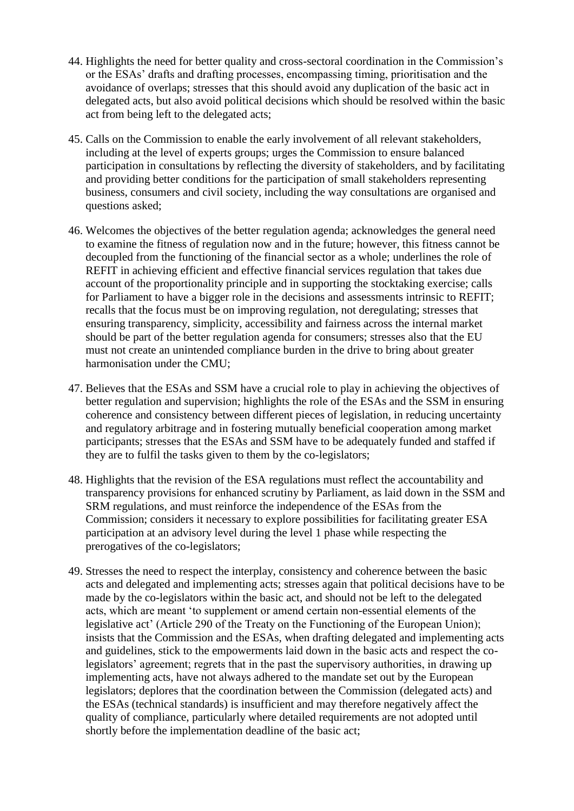- 44. Highlights the need for better quality and cross-sectoral coordination in the Commission's or the ESAs' drafts and drafting processes, encompassing timing, prioritisation and the avoidance of overlaps; stresses that this should avoid any duplication of the basic act in delegated acts, but also avoid political decisions which should be resolved within the basic act from being left to the delegated acts;
- 45. Calls on the Commission to enable the early involvement of all relevant stakeholders, including at the level of experts groups; urges the Commission to ensure balanced participation in consultations by reflecting the diversity of stakeholders, and by facilitating and providing better conditions for the participation of small stakeholders representing business, consumers and civil society, including the way consultations are organised and questions asked;
- 46. Welcomes the objectives of the better regulation agenda; acknowledges the general need to examine the fitness of regulation now and in the future; however, this fitness cannot be decoupled from the functioning of the financial sector as a whole; underlines the role of REFIT in achieving efficient and effective financial services regulation that takes due account of the proportionality principle and in supporting the stocktaking exercise; calls for Parliament to have a bigger role in the decisions and assessments intrinsic to REFIT; recalls that the focus must be on improving regulation, not deregulating; stresses that ensuring transparency, simplicity, accessibility and fairness across the internal market should be part of the better regulation agenda for consumers; stresses also that the EU must not create an unintended compliance burden in the drive to bring about greater harmonisation under the CMU;
- 47. Believes that the ESAs and SSM have a crucial role to play in achieving the objectives of better regulation and supervision; highlights the role of the ESAs and the SSM in ensuring coherence and consistency between different pieces of legislation, in reducing uncertainty and regulatory arbitrage and in fostering mutually beneficial cooperation among market participants; stresses that the ESAs and SSM have to be adequately funded and staffed if they are to fulfil the tasks given to them by the co-legislators;
- 48. Highlights that the revision of the ESA regulations must reflect the accountability and transparency provisions for enhanced scrutiny by Parliament, as laid down in the SSM and SRM regulations, and must reinforce the independence of the ESAs from the Commission; considers it necessary to explore possibilities for facilitating greater ESA participation at an advisory level during the level 1 phase while respecting the prerogatives of the co-legislators;
- 49. Stresses the need to respect the interplay, consistency and coherence between the basic acts and delegated and implementing acts; stresses again that political decisions have to be made by the co-legislators within the basic act, and should not be left to the delegated acts, which are meant 'to supplement or amend certain non-essential elements of the legislative act' (Article 290 of the Treaty on the Functioning of the European Union); insists that the Commission and the ESAs, when drafting delegated and implementing acts and guidelines, stick to the empowerments laid down in the basic acts and respect the colegislators' agreement; regrets that in the past the supervisory authorities, in drawing up implementing acts, have not always adhered to the mandate set out by the European legislators; deplores that the coordination between the Commission (delegated acts) and the ESAs (technical standards) is insufficient and may therefore negatively affect the quality of compliance, particularly where detailed requirements are not adopted until shortly before the implementation deadline of the basic act;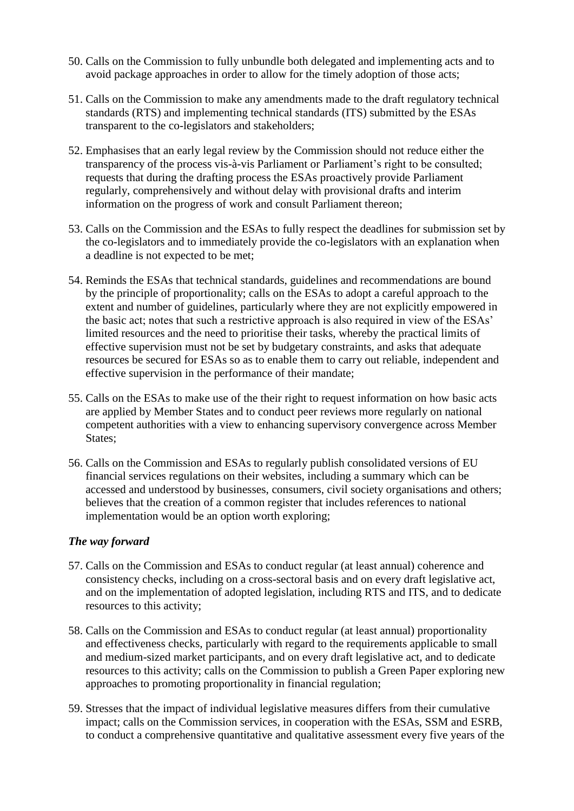- 50. Calls on the Commission to fully unbundle both delegated and implementing acts and to avoid package approaches in order to allow for the timely adoption of those acts;
- 51. Calls on the Commission to make any amendments made to the draft regulatory technical standards (RTS) and implementing technical standards (ITS) submitted by the ESAs transparent to the co-legislators and stakeholders;
- 52. Emphasises that an early legal review by the Commission should not reduce either the transparency of the process vis-à-vis Parliament or Parliament's right to be consulted; requests that during the drafting process the ESAs proactively provide Parliament regularly, comprehensively and without delay with provisional drafts and interim information on the progress of work and consult Parliament thereon;
- 53. Calls on the Commission and the ESAs to fully respect the deadlines for submission set by the co-legislators and to immediately provide the co-legislators with an explanation when a deadline is not expected to be met;
- 54. Reminds the ESAs that technical standards, guidelines and recommendations are bound by the principle of proportionality; calls on the ESAs to adopt a careful approach to the extent and number of guidelines, particularly where they are not explicitly empowered in the basic act; notes that such a restrictive approach is also required in view of the ESAs' limited resources and the need to prioritise their tasks, whereby the practical limits of effective supervision must not be set by budgetary constraints, and asks that adequate resources be secured for ESAs so as to enable them to carry out reliable, independent and effective supervision in the performance of their mandate;
- 55. Calls on the ESAs to make use of the their right to request information on how basic acts are applied by Member States and to conduct peer reviews more regularly on national competent authorities with a view to enhancing supervisory convergence across Member States:
- 56. Calls on the Commission and ESAs to regularly publish consolidated versions of EU financial services regulations on their websites, including a summary which can be accessed and understood by businesses, consumers, civil society organisations and others; believes that the creation of a common register that includes references to national implementation would be an option worth exploring;

#### *The way forward*

- 57. Calls on the Commission and ESAs to conduct regular (at least annual) coherence and consistency checks, including on a cross-sectoral basis and on every draft legislative act, and on the implementation of adopted legislation, including RTS and ITS, and to dedicate resources to this activity;
- 58. Calls on the Commission and ESAs to conduct regular (at least annual) proportionality and effectiveness checks, particularly with regard to the requirements applicable to small and medium-sized market participants, and on every draft legislative act, and to dedicate resources to this activity; calls on the Commission to publish a Green Paper exploring new approaches to promoting proportionality in financial regulation;
- 59. Stresses that the impact of individual legislative measures differs from their cumulative impact; calls on the Commission services, in cooperation with the ESAs, SSM and ESRB, to conduct a comprehensive quantitative and qualitative assessment every five years of the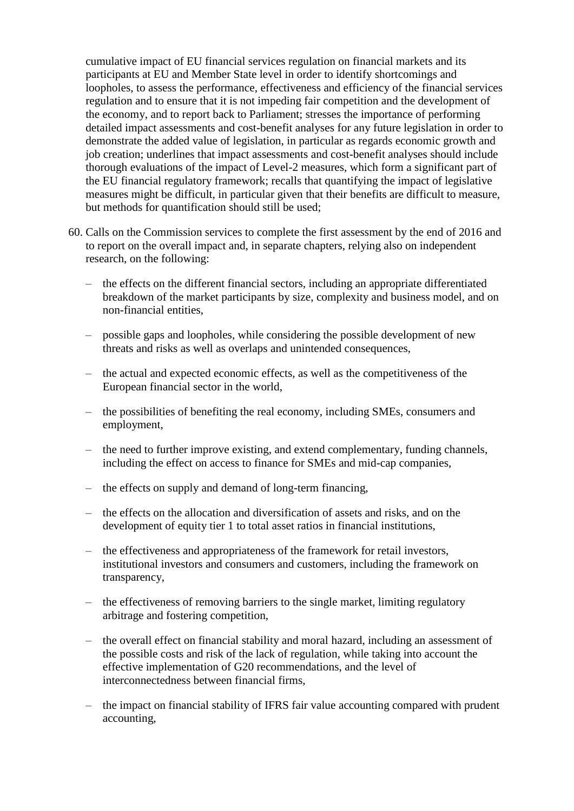cumulative impact of EU financial services regulation on financial markets and its participants at EU and Member State level in order to identify shortcomings and loopholes, to assess the performance, effectiveness and efficiency of the financial services regulation and to ensure that it is not impeding fair competition and the development of the economy, and to report back to Parliament; stresses the importance of performing detailed impact assessments and cost-benefit analyses for any future legislation in order to demonstrate the added value of legislation, in particular as regards economic growth and job creation; underlines that impact assessments and cost-benefit analyses should include thorough evaluations of the impact of Level-2 measures, which form a significant part of the EU financial regulatory framework; recalls that quantifying the impact of legislative measures might be difficult, in particular given that their benefits are difficult to measure, but methods for quantification should still be used;

- 60. Calls on the Commission services to complete the first assessment by the end of 2016 and to report on the overall impact and, in separate chapters, relying also on independent research, on the following:
	- the effects on the different financial sectors, including an appropriate differentiated breakdown of the market participants by size, complexity and business model, and on non-financial entities,
	- possible gaps and loopholes, while considering the possible development of new threats and risks as well as overlaps and unintended consequences,
	- the actual and expected economic effects, as well as the competitiveness of the European financial sector in the world,
	- the possibilities of benefiting the real economy, including SMEs, consumers and employment,
	- the need to further improve existing, and extend complementary, funding channels, including the effect on access to finance for SMEs and mid-cap companies,
	- the effects on supply and demand of long-term financing,
	- the effects on the allocation and diversification of assets and risks, and on the development of equity tier 1 to total asset ratios in financial institutions,
	- the effectiveness and appropriateness of the framework for retail investors, institutional investors and consumers and customers, including the framework on transparency,
	- the effectiveness of removing barriers to the single market, limiting regulatory arbitrage and fostering competition,
	- the overall effect on financial stability and moral hazard, including an assessment of the possible costs and risk of the lack of regulation, while taking into account the effective implementation of G20 recommendations, and the level of interconnectedness between financial firms,
	- the impact on financial stability of IFRS fair value accounting compared with prudent accounting,